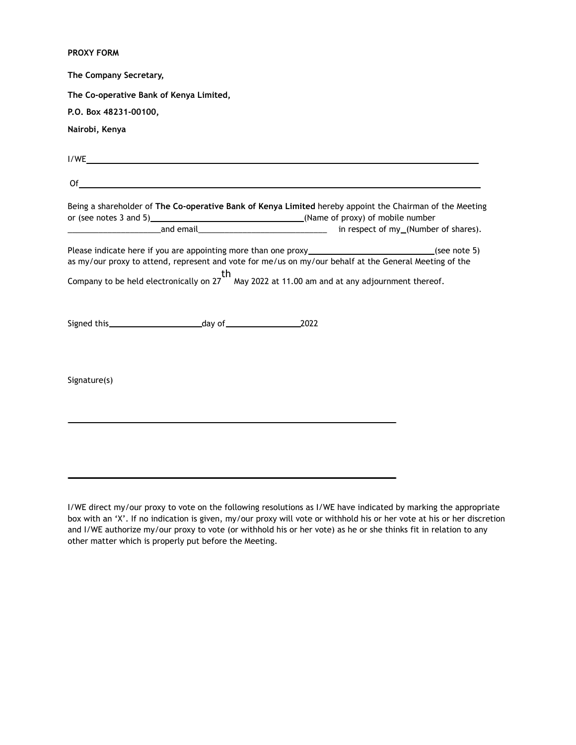## **PROXY FORM**

| The Company Secretary,                                                                                         |    |       |                                                                                                                                                                                                                              |
|----------------------------------------------------------------------------------------------------------------|----|-------|------------------------------------------------------------------------------------------------------------------------------------------------------------------------------------------------------------------------------|
| The Co-operative Bank of Kenya Limited,                                                                        |    |       |                                                                                                                                                                                                                              |
| P.O. Box 48231-00100,                                                                                          |    |       |                                                                                                                                                                                                                              |
| Nairobi, Kenya                                                                                                 |    |       |                                                                                                                                                                                                                              |
| I/WELL AND THE CONTRACT OF THE CONTRACT OF THE CONTRACT OF THE CONTRACT OF THE CONTRACT OF THE CONTRACT OF THE |    |       |                                                                                                                                                                                                                              |
|                                                                                                                | Of |       |                                                                                                                                                                                                                              |
|                                                                                                                |    |       | Being a shareholder of The Co-operative Bank of Kenya Limited hereby appoint the Chairman of the Meeting                                                                                                                     |
| Please indicate here if you are appointing more than one proxy__________________                               |    |       | (see note 5)<br>as my/our proxy to attend, represent and vote for me/us on my/our behalf at the General Meeting of the<br>th<br>Company to be held electronically on 27 May 2022 at 11.00 am and at any adjournment thereof. |
|                                                                                                                |    | _2022 |                                                                                                                                                                                                                              |
| Signature(s)                                                                                                   |    |       |                                                                                                                                                                                                                              |
|                                                                                                                |    |       |                                                                                                                                                                                                                              |

I/WE direct my/our proxy to vote on the following resolutions as I/WE have indicated by marking the appropriate box with an 'X'. If no indication is given, my/our proxy will vote or withhold his or her vote at his or her discretion and I/WE authorize my/our proxy to vote (or withhold his or her vote) as he or she thinks fit in relation to any other matter which is properly put before the Meeting.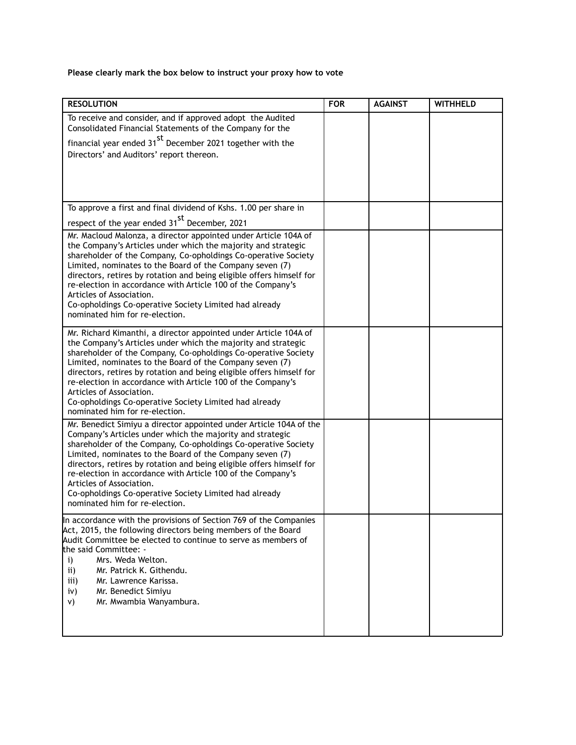# **Please clearly mark the box below to instruct your proxy how to vote**

| <b>RESOLUTION</b>                                                                                                                                                                                                                                                                                                                                                                                                                                                                                                              | <b>FOR</b> | <b>AGAINST</b> | <b>WITHHELD</b> |
|--------------------------------------------------------------------------------------------------------------------------------------------------------------------------------------------------------------------------------------------------------------------------------------------------------------------------------------------------------------------------------------------------------------------------------------------------------------------------------------------------------------------------------|------------|----------------|-----------------|
| To receive and consider, and if approved adopt the Audited<br>Consolidated Financial Statements of the Company for the                                                                                                                                                                                                                                                                                                                                                                                                         |            |                |                 |
| financial year ended 31 <sup>St</sup> December 2021 together with the<br>Directors' and Auditors' report thereon.                                                                                                                                                                                                                                                                                                                                                                                                              |            |                |                 |
|                                                                                                                                                                                                                                                                                                                                                                                                                                                                                                                                |            |                |                 |
|                                                                                                                                                                                                                                                                                                                                                                                                                                                                                                                                |            |                |                 |
| To approve a first and final dividend of Kshs. 1.00 per share in                                                                                                                                                                                                                                                                                                                                                                                                                                                               |            |                |                 |
| respect of the year ended 31 <sup>st</sup> December, 2021                                                                                                                                                                                                                                                                                                                                                                                                                                                                      |            |                |                 |
| Mr. Macloud Malonza, a director appointed under Article 104A of<br>the Company's Articles under which the majority and strategic<br>shareholder of the Company, Co-opholdings Co-operative Society<br>Limited, nominates to the Board of the Company seven (7)<br>directors, retires by rotation and being eligible offers himself for<br>re-election in accordance with Article 100 of the Company's<br>Articles of Association.<br>Co-opholdings Co-operative Society Limited had already<br>nominated him for re-election.  |            |                |                 |
| Mr. Richard Kimanthi, a director appointed under Article 104A of<br>the Company's Articles under which the majority and strategic<br>shareholder of the Company, Co-opholdings Co-operative Society<br>Limited, nominates to the Board of the Company seven (7)<br>directors, retires by rotation and being eligible offers himself for<br>re-election in accordance with Article 100 of the Company's<br>Articles of Association.<br>Co-opholdings Co-operative Society Limited had already<br>nominated him for re-election. |            |                |                 |
| Mr. Benedict Simiyu a director appointed under Article 104A of the<br>Company's Articles under which the majority and strategic<br>shareholder of the Company, Co-opholdings Co-operative Society<br>Limited, nominates to the Board of the Company seven (7)<br>directors, retires by rotation and being eligible offers himself for<br>re-election in accordance with Article 100 of the Company's<br>Articles of Association.<br>Co-opholdings Co-operative Society Limited had already<br>nominated him for re-election.   |            |                |                 |
| In accordance with the provisions of Section 769 of the Companies<br>Act, 2015, the following directors being members of the Board<br>Audit Committee be elected to continue to serve as members of<br>the said Committee: -<br>Mrs. Weda Welton.<br>i)<br>Mr. Patrick K. Githendu.<br>ii)<br>iii)<br>Mr. Lawrence Karissa.<br>iv)<br>Mr. Benedict Simiyu<br>Mr. Mwambia Wanyambura.<br>V)                                                                                                                                     |            |                |                 |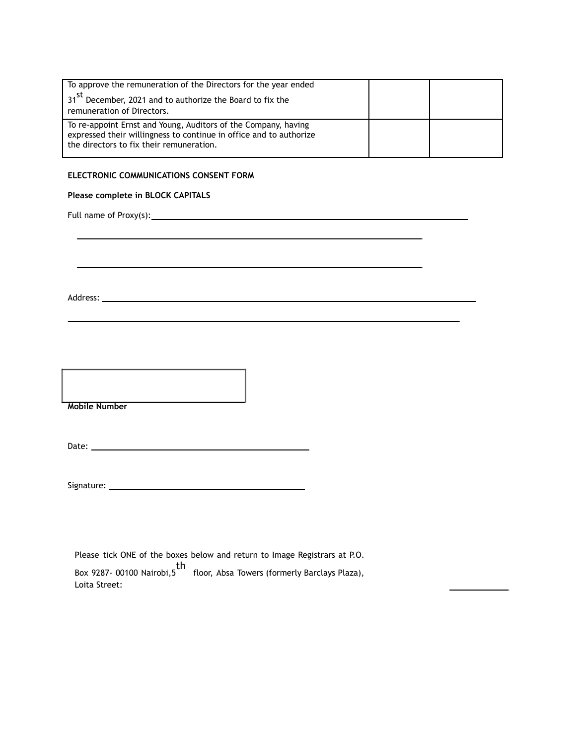| To approve the remuneration of the Directors for the year ended<br>31 <sup>st</sup> December, 2021 and to authorize the Board to fix the<br>remuneration of Directors.           |  |  |
|----------------------------------------------------------------------------------------------------------------------------------------------------------------------------------|--|--|
| To re-appoint Ernst and Young, Auditors of the Company, having<br>expressed their willingness to continue in office and to authorize<br>the directors to fix their remuneration. |  |  |

### **ELECTRONIC COMMUNICATIONS CONSENT FORM**

### **Please complete in BLOCK CAPITALS**

Full name of Proxy(s):

Address:

**Mobile Number**

Date:

Signature:

Please tick ONE of the boxes below and return to Image Registrars at P.O. Box 9287- 00100 Nairobi,5 th floor, Absa Towers (formerly Barclays Plaza), Loita Street: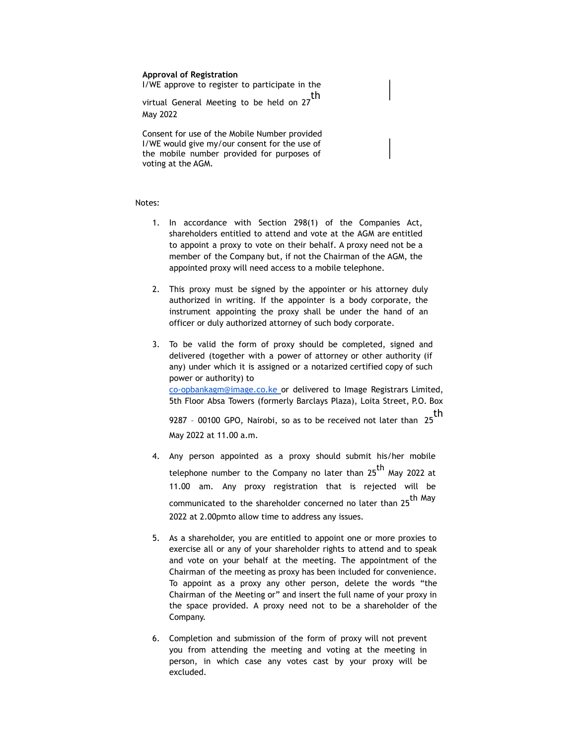#### **Approval of Registration**

I/WE approve to register to participate in the

virtual General Meeting to be held on 27 th May 2022

Consent for use of the Mobile Number provided I/WE would give my/our consent for the use of the mobile number provided for purposes of voting at the AGM.

#### Notes:

- 1. In accordance with Section 298(1) of the Companies Act, shareholders entitled to attend and vote at the AGM are entitled to appoint a proxy to vote on their behalf. A proxy need not be a member of the Company but, if not the Chairman of the AGM, the appointed proxy will need access to a mobile telephone.
- 2. This proxy must be signed by the appointer or his attorney duly authorized in writing. If the appointer is a body corporate, the instrument appointing the proxy shall be under the hand of an officer or duly authorized attorney of such body corporate.
- 3. To be valid the form of proxy should be completed, signed and delivered (together with a power of attorney or other authority (if any) under which it is assigned or a notarized certified copy of such power or authority) to [co-opbankagm@image.co.ke](mailto:co-opbankagm@image.co.ke) or delivered to Image Registrars Limited, 5th Floor Absa Towers (formerly Barclays Plaza), Loita Street, P.O. Box

9287 – 00100 GPO, Nairobi, so as to be received not later than 25 th May 2022 at 11.00 a.m.

- 4. Any person appointed as a proxy should submit his/her mobile telephone number to the Company no later than  $25^{th}$  May 2022 at 11.00 am. Any proxy registration that is rejected will be communicated to the shareholder concerned no later than 25<sup>th May</sup> 2022 at 2.00pmto allow time to address any issues.
- 5. As a shareholder, you are entitled to appoint one or more proxies to exercise all or any of your shareholder rights to attend and to speak and vote on your behalf at the meeting. The appointment of the Chairman of the meeting as proxy has been included for convenience. To appoint as a proxy any other person, delete the words "the Chairman of the Meeting or" and insert the full name of your proxy in the space provided. A proxy need not to be a shareholder of the Company.
- 6. Completion and submission of the form of proxy will not prevent you from attending the meeting and voting at the meeting in person, in which case any votes cast by your proxy will be excluded.